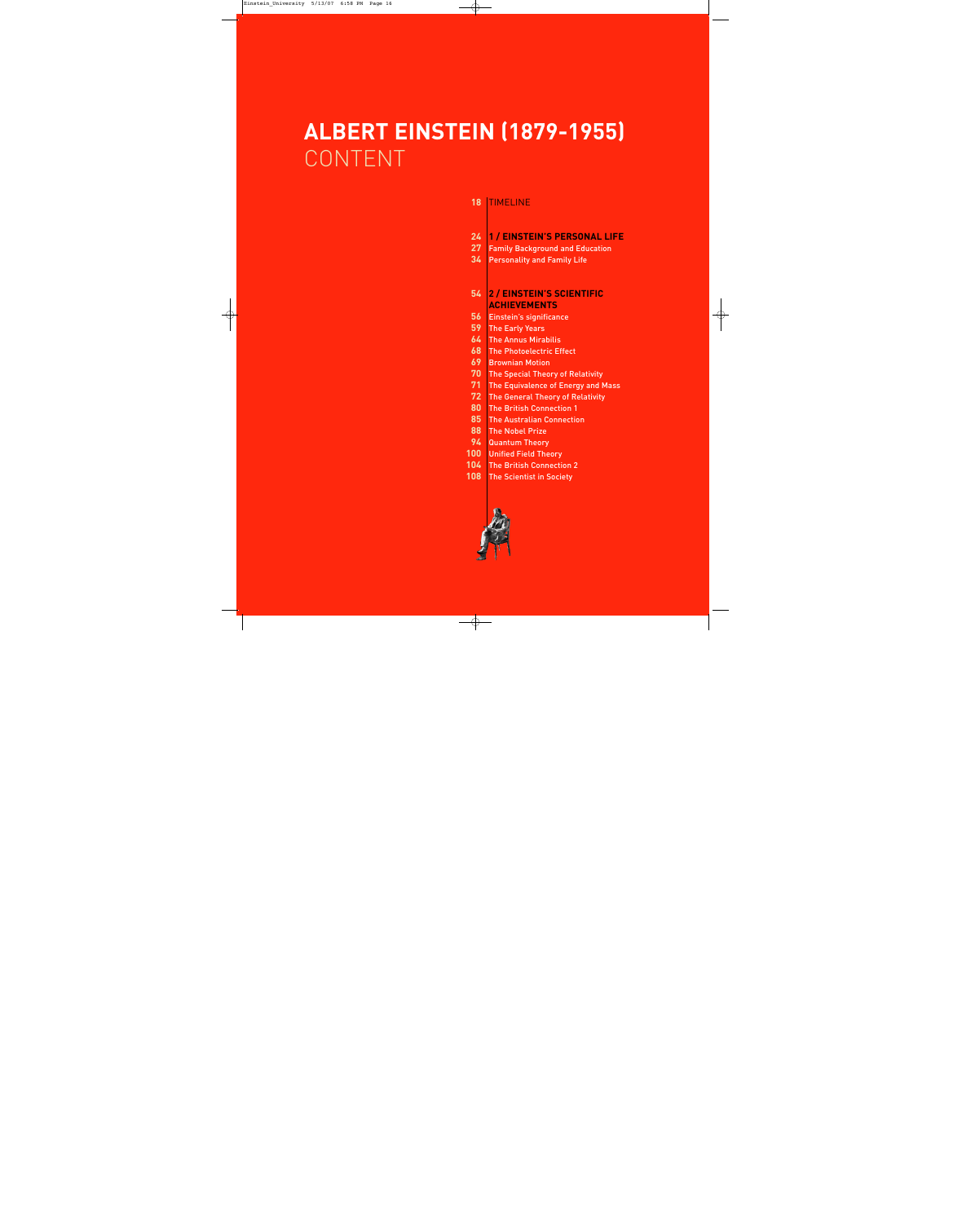# **ALBERT EINSTEIN (1879-1955)** CONTENT

# [TIMELINE](#page--1-0)

- **[1 / EINSTEIN'S PERSONAL LIFE](#page--1-0)**
- [Family Background and Education](#page--1-0)
- [Personality and Family Life](#page--1-0)

# **[2 / EINSTEIN'S SCIENTIFIC](#page--1-0) ACHIEVEMENTS**

- [Einstein's significance](#page--1-0)
- [The Early Years](#page--1-0)
- [The Annus Mirabilis](#page--1-0)
- [The Photoelectric Effect](#page--1-0)
- [Brownian Motion](#page--1-0)
- [The Special Theory of Relativity](#page--1-0)
- [The Equivalence of](#page--1-0) Energy and Mass
- [The General Theory of Relativity](#page--1-0)
- [The British Connection 1](#page--1-0)
- [The Australian Connection](#page--1-0)
- [The Nobel Prize](#page--1-0)
- [Quantum Theory](#page--1-0)
- [Unified Field Theory](#page--1-0)
- [The British Connection 2](#page--1-0)
- [The Scientist in Society](#page--1-0)

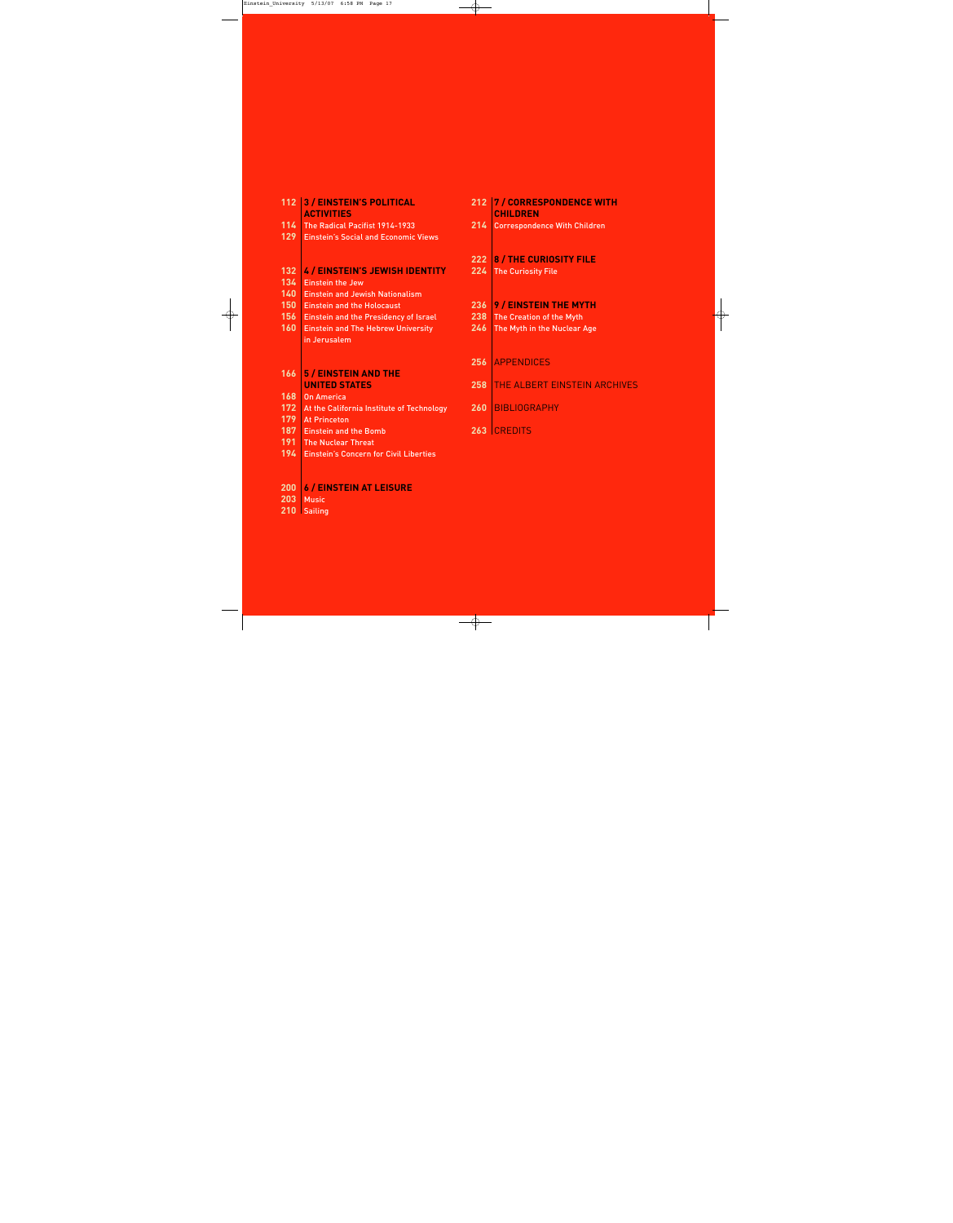#### **[3 / EINSTEIN'S POLITICAL](#page--1-0) 112 ACTIVITIES** [The Radical Pacifist 1914-1933](#page--1-0) **114** [Einstein's Social and Economic Views](#page--1-0) **[4 / EINSTEIN'S JEWISH IDENTITY](#page--1-0)** [Einstein the Jew](#page--1-0) [Einstein and Jewish Nationalism](#page--1-0) [Einstein and the Holocaust](#page--1-0) [Einstein and the Presidency of Israel](#page--1-0) [Einstein and The Hebrew University](#page--1-0)  in Jerusalem **[5 / EINSTEIN AND THE](#page--1-0) 166 UNITED STATES**  [On America](#page--1-0) [At the California Institute](#page--1-0) of Technology [At Princeton](#page--1-0) [Einstein and the Bomb](#page--1-0) [The Nuclear Threat](#page--1-0) [Einstein's Concern for Civil Liberties](#page--1-0) **[6 / EINSTEIN AT LEISURE](#page--1-0)** [Music](#page--1-0)  **203** 210 [Sailing](#page--1-0) **129 132 134 140 150 156 160 168 172 179 187 191 194 200**

| 212               | <b>7 / CORRESPONDENCE WITH</b><br><b>CHILDREN</b>                                |
|-------------------|----------------------------------------------------------------------------------|
| 214               | <b>Correspondence With Children</b>                                              |
| 222<br>224        | 8 / THE CURIOSITY FILE<br><b>The Curiosity File</b>                              |
| 236<br>238<br>246 | 9 / EINSTEIN THE MYTH<br>The Creation of the Myth<br>The Myth in the Nuclear Age |
| 256               | <b>APPENDICES</b>                                                                |
| 258               | THE ALBERT EINSTEIN ARCHIVES                                                     |
| 260               | <b>BIBLIOGRAPHY</b>                                                              |
| 263               | <b>CREDITS</b>                                                                   |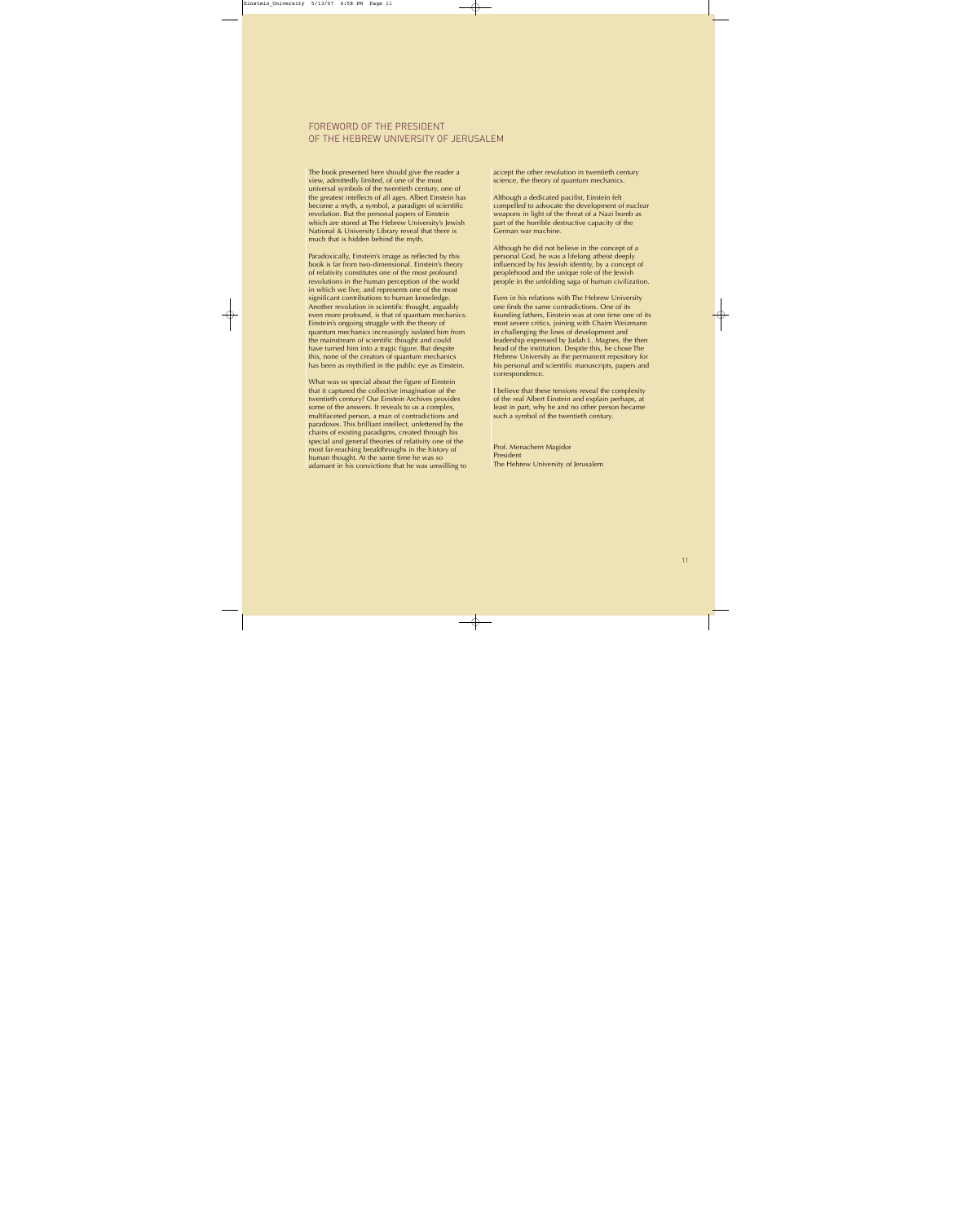# FOREWORD OF THE PRESIDENT OF THE HEBREW UNIVERSITY OF JERUSALEM

The book presented here should give the reader a view, admittedly limited, of one of the most universal symbols of the twentieth century, one of the greatest intellects of all ages. Albert Einstein has become a myth, a symbol, a paradigm of scientific revolution. But the personal papers of Einstein which are stored at The Hebrew University's Jewish National & University Library reveal that there is much that is hidden behind the myth.

Paradoxically, Einstein's image as reflected by this book is far from two-dimensional. Einstein's theory of relativity constitutes one of the most profound revolutions in the human perception of the world in which we live, and represents one of the most significant contributions to human knowledge. Another revolution in scientific thought, arguably even more profound, is that of quantum mechanics. Einstein's ongoing struggle with the theory of quantum mechanics increasingly isolated him from the mainstream of scientific thought and could have turned him into a tragic figure. But despite this, none of the creators of quantum mechanics has been as mythified in the public eye as Einstein.

What was so special about the figure of Einstein that it captured the collective imagination of the twentieth century? Our Einstein Archives provides some of the answers. It reveals to us a complex, multifaceted person, a man of contradictions and paradoxes. This brilliant intellect, unfettered by the chains of existing paradigms, created through his special and general theories of relativity one of the most far-reaching breakthroughs in the history of human thought. At the same time he was so adamant in his convictions that he was unwilling to accept the other revolution in twentieth century science, the theory of quantum mechanics.

Although a dedicated pacifist, Einstein felt compelled to advocate the development of nuclear weapons in light of the threat of a Nazi bomb as part of the horrible destructive capacity of the German war machine.

Although he did not believe in the concept of a personal God, he was a lifelong atheist deeply influenced by his Jewish identity, by a concept of peoplehood and the unique role of the Jewish people in the unfolding saga of human civilization.

Even in his relations with The Hebrew University one finds the same contradictions. One of its founding fathers, Einstein was at one time one of its most severe critics, joining with Chaim Weizmann in challenging the lines of development and leadership expressed by Judah L. Magnes, the then head of the institution. Despite this, he chose The Hebrew University as the permanent repository for his personal and scientific manuscripts, papers and correspondence.

I believe that these tensions reveal the complexity of the real Albert Einstein and explain perhaps, at least in part, why he and no other person became such a symbol of the twentieth century.

Prof. Menachem Magidor President The Hebrew University of Jerusalem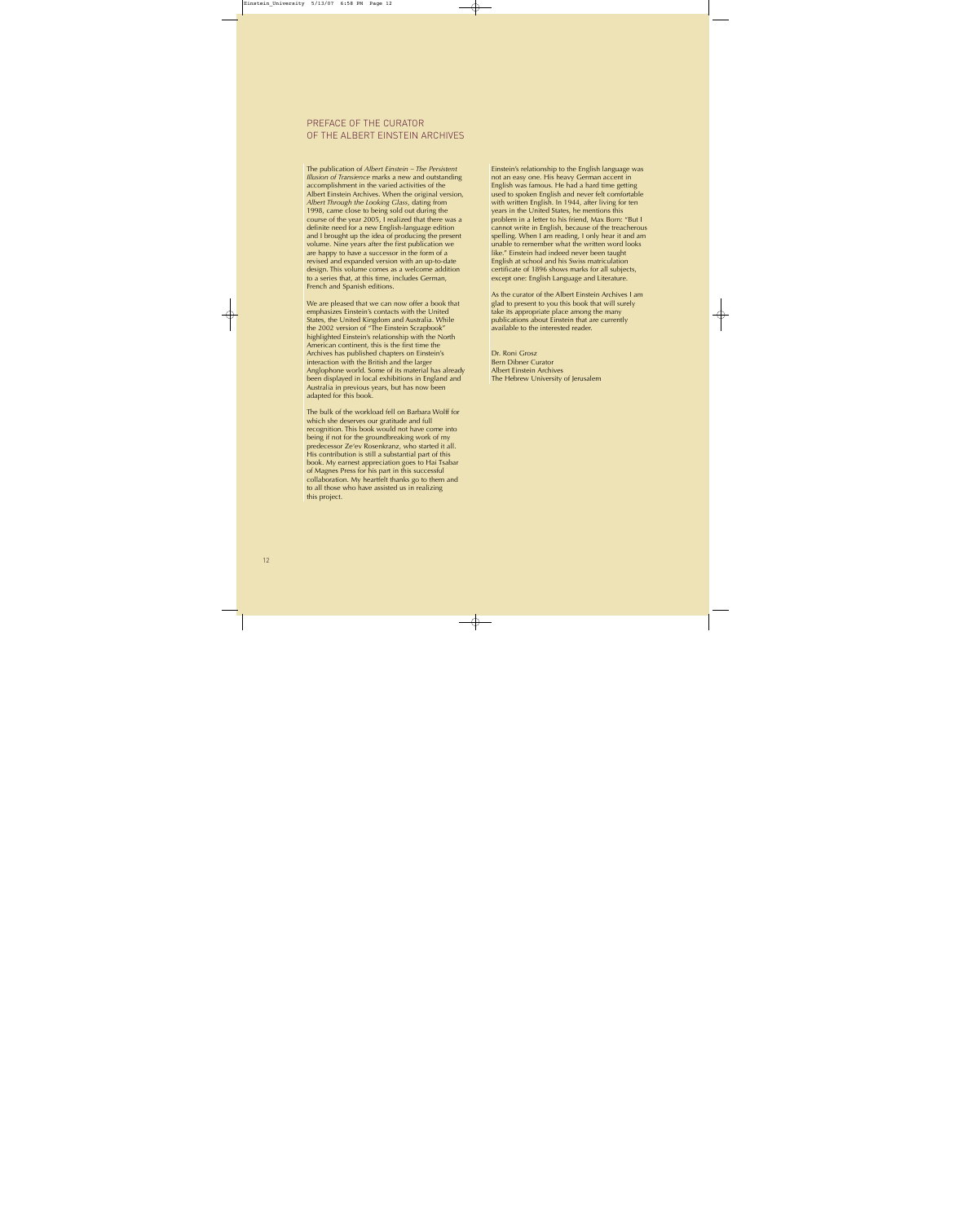# PREFACE OF THE CURATOR OF THE ALBERT EINSTEIN ARCHIVES

The publication of *Albert Einstein – The Persistent Illusion of Transience* marks a new and outstanding accomplishment in the varied activities of the Albert Einstein Archives. When the original version, *Albert Through the Looking Glass*, dating from 1998, came close to being sold out during the course of the year 2005, I realized that there was a definite need for a new English-language edition and I brought up the idea of producing the present volume. Nine years after the first publication we are happy to have a successor in the form of a revised and expanded version with an up-to-date design. This volume comes as a welcome addition to a series that, at this time, includes German, French and Spanish editions.

We are pleased that we can now offer a book that emphasizes Einstein's contacts with the United States, the United Kingdom and Australia. While the 2002 version of "The Einstein Scrapbook" highlighted Einstein's relationship with the North American continent, this is the first time the Archives has published chapters on Einstein's interaction with the British and the larger Anglophone world. Some of its material has already been displayed in local exhibitions in England and Australia in previous years, but has now been adapted for this book.

The bulk of the workload fell on Barbara Wolff for which she deserves our gratitude and full recognition. This book would not have come into being if not for the groundbreaking work of my predecessor Ze'ev Rosenkranz, who started it all. His contribution is still a substantial part of this book. My earnest appreciation goes to Hai Tsabar of Magnes Press for his part in this successful collaboration. My heartfelt thanks go to them and to all those who have assisted us in realizing this project.

Einstein's relationship to the English language was not an easy one. His heavy German accent in English was famous. He had a hard time getting used to spoken English and never felt comfortable with written English. In 1944, after living for ten years in the United States, he mentions this problem in a letter to his friend, Max Born: "But I cannot write in English, because of the treacherous spelling. When I am reading, I only hear it and am unable to remember what the written word looks like." Einstein had indeed never been taught English at school and his Swiss matriculation certificate of 1896 shows marks for all subjects, except one: English Language and Literature.

As the curator of the Albert Einstein Archives I am glad to present to you this book that will surely take its appropriate place among the many publications about Einstein that are currently available to the interested reader.

Dr. Roni Grosz Bern Dibner Curator Albert Einstein Archives The Hebrew University of Jerusalem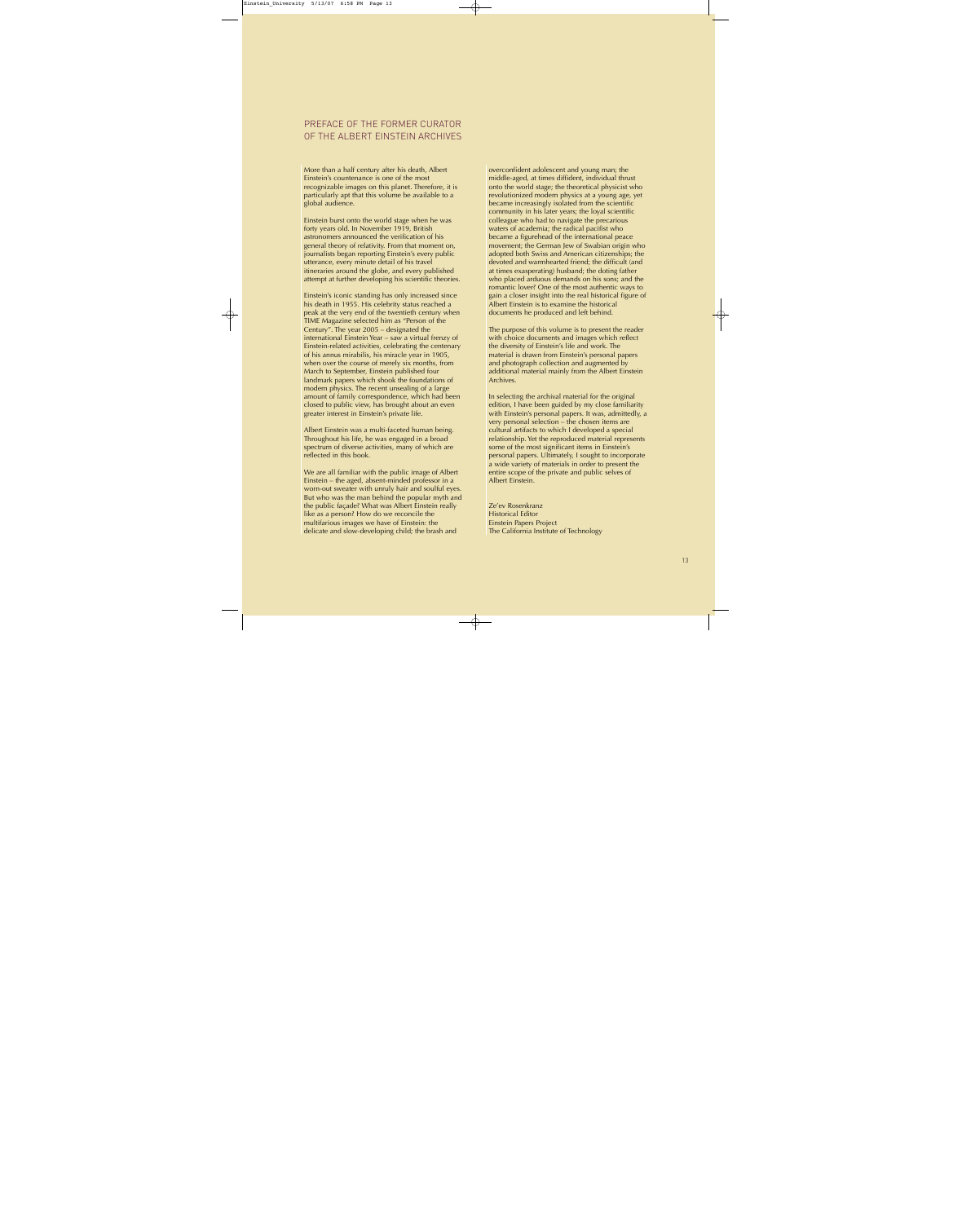# PREFACE OF THE FORMER CURATOR OF THE ALBERT EINSTEIN ARCHIVES

More than a half century after his death, Albert Einstein's countenance is one of the most recognizable images on this planet. Therefore, it is particularly apt that this volume be available to a global audience.

Einstein burst onto the world stage when he was forty years old. In November 1919, British astronomers announced the verification of his general theory of relativity. From that moment on, journalists began reporting Einstein's every public utterance, every minute detail of his travel itineraries around the globe, and every published attempt at further developing his scientific theories.

Einstein's iconic standing has only increased since his death in 1955. His celebrity status reached a peak at the very end of the twentieth century when TIME Magazine selected him as "Person of the Century". The year 2005 – designated the international Einstein Year – saw a virtual frenzy of Einstein-related activities, celebrating the centenary of his annus mirabilis, his miracle year in 1905, when over the course of merely six months, from March to September, Einstein published four landmark papers which shook the foundations of modern physics. The recent unsealing of a large amount of family correspondence, which had been closed to public view, has brought about an even greater interest in Einstein's private life.

Albert Einstein was a multi-faceted human being. Throughout his life, he was engaged in a broad spectrum of diverse activities, many of which are reflected in this book.

We are all familiar with the public image of Albert Einstein – the aged, absent-minded professor in a worn-out sweater with unruly hair and soulful eyes. But who was the man behind the popular myth and the public façade? What was Albert Einstein really like as a person? How do we reconcile the multifarious images we have of Einstein: the delicate and slow-developing child; the brash and

overconfident adolescent and young man; the middle-aged, at times diffident, individual thrust onto the world stage; the theoretical physicist who revolutionized modern physics at a young age, yet became increasingly isolated from the scientific community in his later years; the loyal scientific colleague who had to navigate the precarious waters of academia; the radical pacifist who became a figurehead of the international peace movement; the German Jew of Swabian origin who adopted both Swiss and American citizenships; the devoted and warmhearted friend; the difficult (and at times exasperating) husband; the doting father who placed arduous demands on his sons; and the romantic lover? One of the most authentic ways to gain a closer insight into the real historical figure of Albert Einstein is to examine the historical documents he produced and left behind.

The purpose of this volume is to present the reader with choice documents and images which reflect the diversity of Einstein's life and work. The material is drawn from Einstein's personal papers and photograph collection and augmented by additional material mainly from the Albert Einstein Archives.

In selecting the archival material for the original edition, I have been guided by my close familiarity with Einstein's personal papers. It was, admittedly, a very personal selection – the chosen items are cultural artifacts to which I developed a special relationship. Yet the reproduced material represents some of the most significant items in Einstein's personal papers. Ultimately, I sought to incorporate a wide variety of materials in order to present the entire scope of the private and public selves of Albert Einstein.

Ze'ev Rosenkranz Historical Editor Einstein Papers Project The California Institute of Technology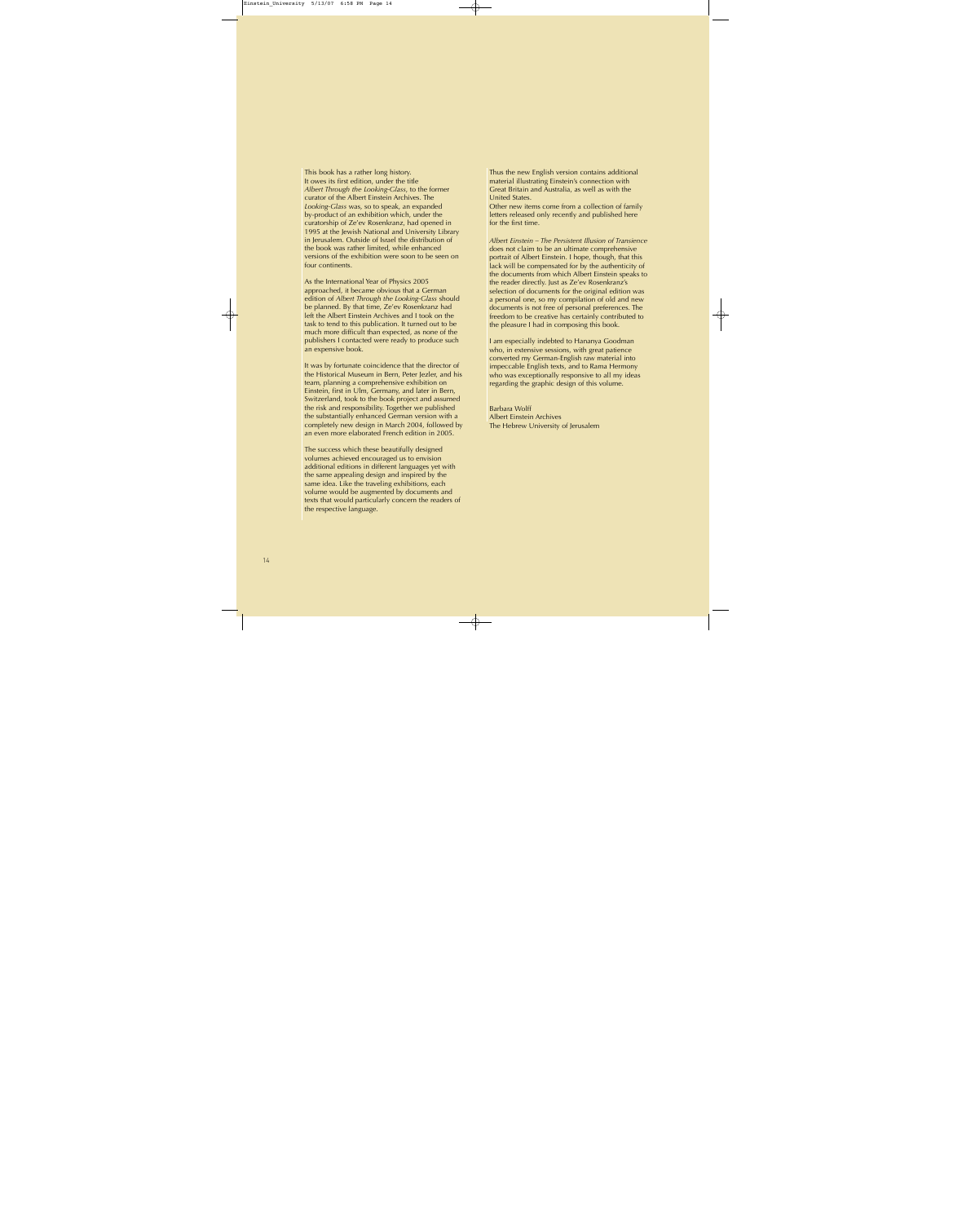This book has a rather long history. It owes its first edition, under the title *Albert Through the Looking-Glass*, to the former curator of the Albert Einstein Archives. The *Looking-Glass* was, so to speak, an expanded by-product of an exhibition which, under the curatorship of Ze'ev Rosenkranz, had opened in 1995 at the Jewish National and University Library in Jerusalem. Outside of Israel the distribution of the book was rather limited, while enhanced versions of the exhibition were soon to be seen on four continents.

As the International Year of Physics 2005 approached, it became obvious that a German edition of *Albert Through the Looking-Glass* should be planned. By that time, Ze'ev Rosenkranz had left the Albert Einstein Archives and I took on the task to tend to this publication. It turned out to be much more difficult than expected, as none of the publishers I contacted were ready to produce such an expensive book.

It was by fortunate coincidence that the director of the Historical Museum in Bern, Peter Jezler, and his team, planning a comprehensive exhibition on Einstein, first in Ulm, Germany, and later in Bern, Switzerland, took to the book project and assumed the risk and responsibility. Together we published the substantially enhanced German version with a completely new design in March 2004, followed by an even more elaborated French edition in 2005.

The success which these beautifully designed volumes achieved encouraged us to envision additional editions in different languages yet with the same appealing design and inspired by the same idea. Like the traveling exhibitions, each volume would be augmented by documents and texts that would particularly concern the readers of the respective language.

Thus the new English version contains additional material illustrating Einstein's connection with Great Britain and Australia, as well as with the United States.

Other new items come from a collection of family letters released only recently and published here for the first time.

*Albert Einstein – The Persistent Illusion of Transience* does not claim to be an ultimate comprehensive portrait of Albert Einstein. I hope, though, that this lack will be compensated for by the authenticity of the documents from which Albert Einstein speaks to the reader directly. Just as Ze'ev Rosenkranz's selection of documents for the original edition was a personal one, so my compilation of old and new documents is not free of personal preferences. The freedom to be creative has certainly contributed to the pleasure I had in composing this book.

I am especially indebted to Hananya Goodman who, in extensive sessions, with great patience converted my German-English raw material into impeccable English texts, and to Rama Hermony who was exceptionally responsive to all my ideas regarding the graphic design of this volume.

Barbara Wolff Albert Einstein Archives The Hebrew University of Jerusalem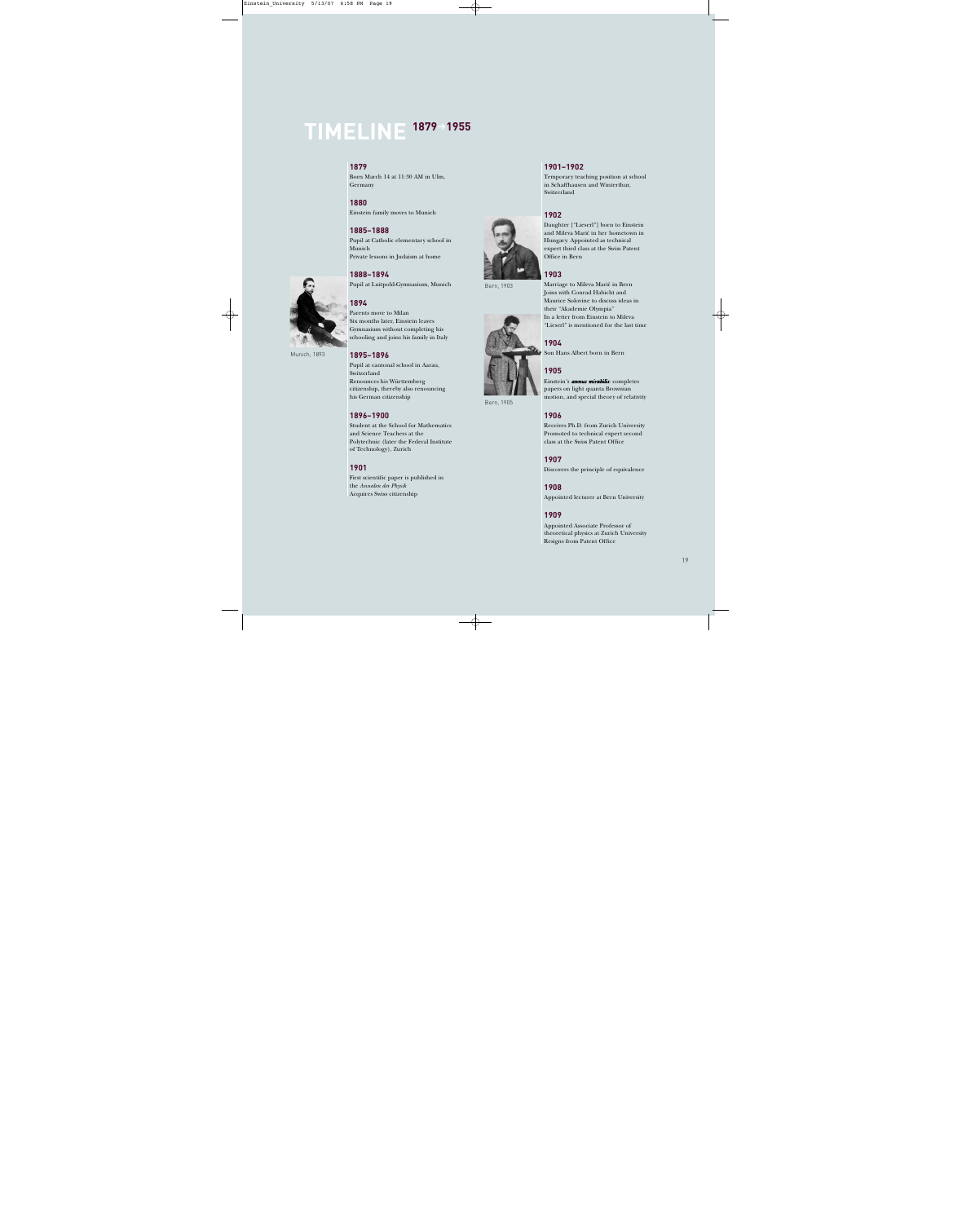# **TIMELINE 1879**k**<sup>1955</sup>**

#### **1879**

Born March 14 at 11:30 AM in Ulm, Germany

#### **1880**

Einstein family moves to Munich

#### **1885–1888**

Pupil at Catholic elementary school in Munich Private lessons in Judaism at home



Munich, 1893

**1895–1896**  Pupil at cantonal school in Aarau, Switzerland Renounces his Württemberg citizenship, thereby also renouncing his German citizenship

#### **1896–1900**

Student at the School for Mathematics and Science Teachers at the Polytechnic (later the Federal Institute of Technology), Zurich

#### **1901**

First scientific paper is published in the *Annalen der Physik* Acquires Swiss citizenship



Temporary teaching position at school in Schaffhausen and Winterthur, Switzerland

#### **1902**

Daughter ["Lieserl"] born to Einstein and Mileva Marić in her hometown in Hungary. Appointed as technical expert third class at the Swiss Patent Office in Bern

#### **1903**

Bern, 1903



Marriage to Mileva Marić in Bern Joins with Conrad Habicht and Maurice Solovine to discuss ideas in their "Akademie Olympia" In a letter from Einstein to Mileva "Lieserl" is mentioned for the last time

#### **1904**

Son Hans Albert born in Bern

#### **1905**

Einstein's *annus mirabilis*: completes papers on light quanta Brownian motion, and special theory of relativity

#### **1906**

Receives Ph.D. from Zurich University Promoted to technical expert second class at the Swiss Patent Office

#### **1907**

Discovers the principle of equivalence

#### **1908**

Appointed lecturer at Bern University

#### **1909**

Appointed Associate Professor of theoretical physics at Zurich University Resigns from Patent Office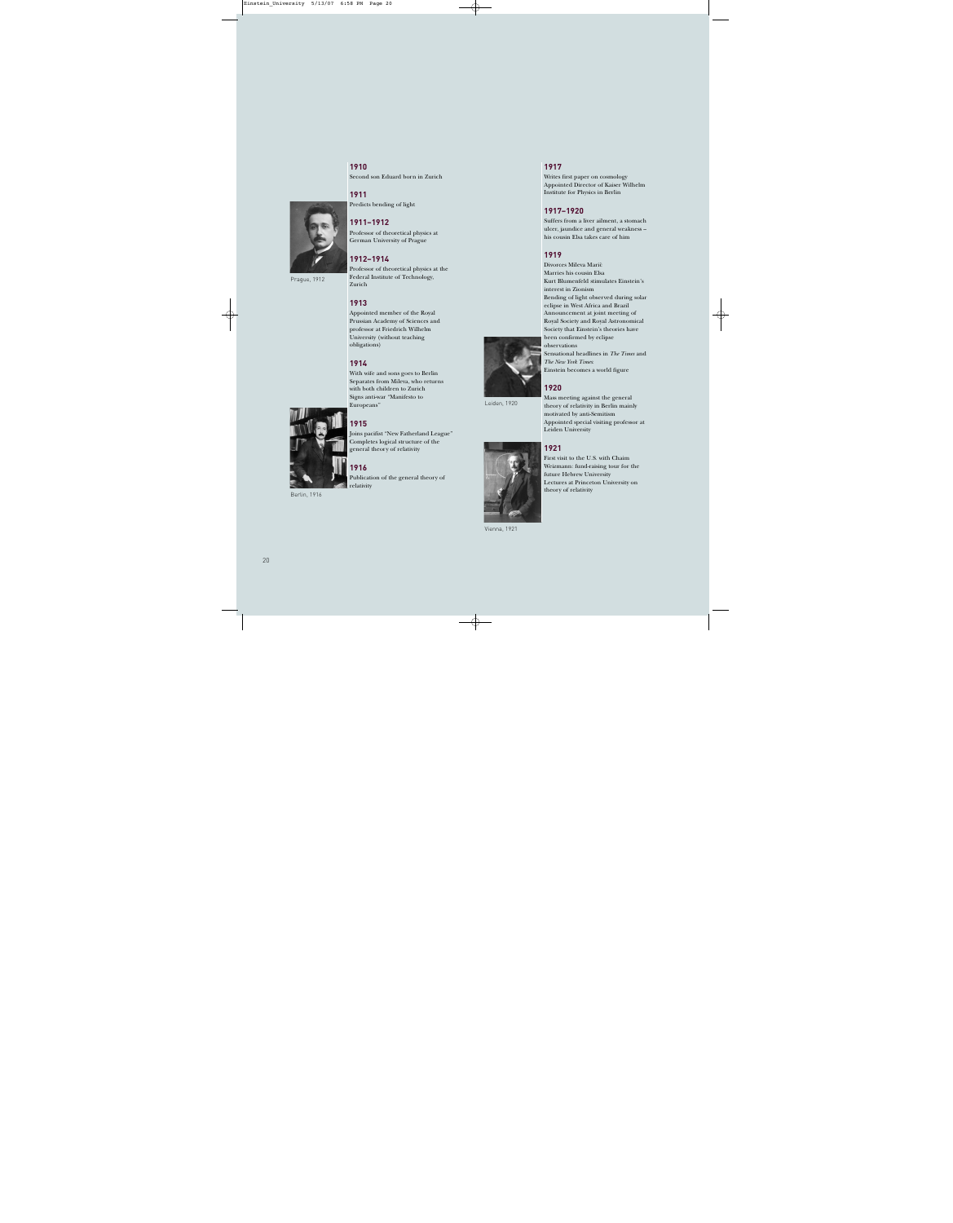#### **1910**

Second son Eduard born in Zurich

**1911** Predicts bending of light

#### **1911–1912**

Professor of theoretical physics at German University of Prague

#### **1912–1914**

Professor of theoretical physics at the Federal Institute of Technology, Zurich

#### **1913**

Appointed member of the Royal Prussian Academy of Sciences and professor at Friedrich Wilhelm University (without teaching obligations)

#### **1914**

**1915**

**1916**

With wife and sons goes to Berlin Separates from Mileva, who returns with both children to Zurich Signs anti-war "Manifesto to Europeans"



Prague, 1912

Berlin, 1916



## **1917**

Writes first paper on cosmology Appointed Director of Kaiser Wilhelm Institute for Physics in Berlin

### **1917–1920**

Suffers from a liver ailment, a stomach ulcer, jaundice and general weakness – his cousin Elsa takes care of him

## **1919**

Divorces Mileva Marić Marries his cousin Elsa Kurt Blumenfeld stimulates Einstein's interest in Zionism Bending of light observed during solar eclipse in West Africa and Brazil Announcement at joint meeting of Royal Society and Royal Astronomical Society that Einstein's theories have been confirmed by eclipse observations Sensational headlines in *The Times* and *The New York Times*: Einstein becomes a world figure

# **1920**

Leiden, 1920

Mass meeting against the general theory of relativity in Berlin mainly motivated by anti-Semitism Appointed special visiting professor at Leiden University

#### **1921**

First visit to the U.S. with Chaim Weizmann: fund-raising tour for the future Hebrew University Lectures at Princeton University on theory of relativity

Vienna, 1921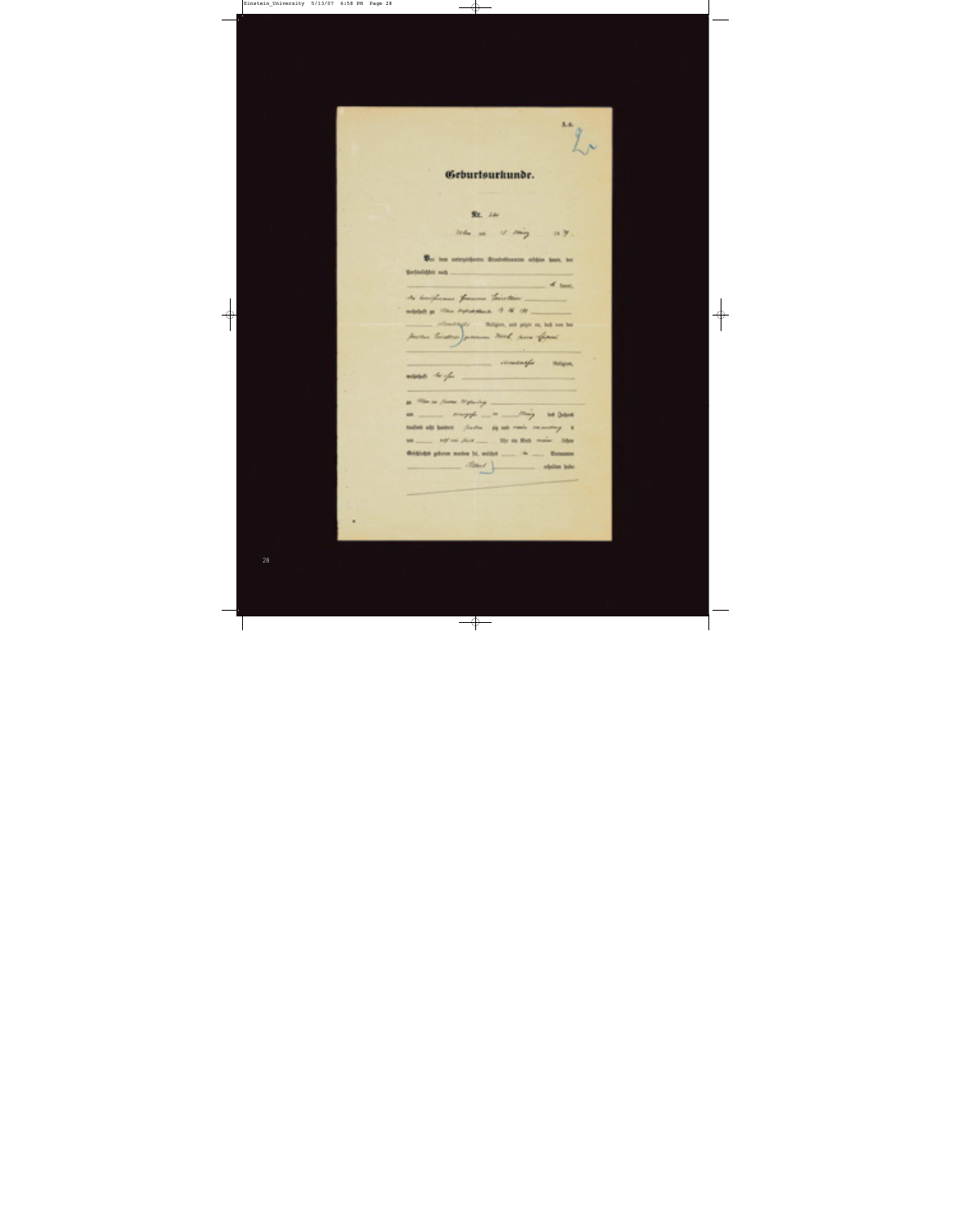$\frac{1}{4}$ Geburtsurhunde. **Rt.** 140  $166$  as  $16$   $166$   $18$ But her untractuers dissolutions within book bet Bethelder ask  $\epsilon$  and might as the Apparent 1 N 19 \_\_\_\_ Jacker Timbers James West som fixed company's **Religion**, which the  $f_{\rm{eff}}$ as \_\_\_\_\_ rings/ \_\_ = \_\_\_ /ing \_\_ as 3400 taded all bates. Surface sig and reads ten accomp. A an \_\_\_\_ n/ on Jan \_\_\_ the da Rob make then  $\label{eq:3.1} \mathcal{A}(t|s,t')$ 

28